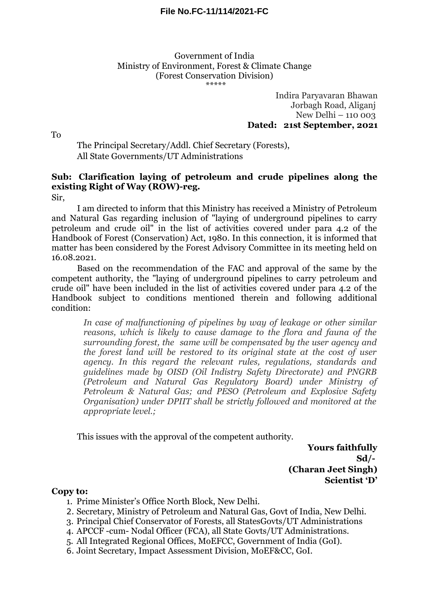Government of India Ministry of Environment, Forest & Climate Change (Forest Conservation Division) \*\*\*\*\*

> Indira Paryavaran Bhawan Jorbagh Road, Aliganj New Delhi – 110 003 **Dated: 21st September, 2021**

To

The Principal Secretary/Addl. Chief Secretary (Forests), All State Governments/UT Administrations

## **Sub: Clarification laying of petroleum and crude pipelines along the existing Right of Way (ROW)-reg.**

Sir,

I am directed to inform that this Ministry has received a Ministry of Petroleum and Natural Gas regarding inclusion of "laying of underground pipelines to carry petroleum and crude oil" in the list of activities covered under para 4.2 of the Handbook of Forest (Conservation) Act, 1980. In this connection, it is informed that matter has been considered by the Forest Advisory Committee in its meeting held on 16.08.2021.

Based on the recommendation of the FAC and approval of the same by the competent authority, the "laying of underground pipelines to carry petroleum and crude oil" have been included in the list of activities covered under para 4.2 of the Handbook subject to conditions mentioned therein and following additional condition:

*In case of malfunctioning of pipelines by way of leakage or other similar reasons, which is likely to cause damage to the flora and fauna of the surrounding forest, the same will be compensated by the user agency and the forest land will be restored to its original state at the cost of user agency. In this regard the relevant rules, regulations, standards and guidelines made by OISD (Oil Indistry Safety Directorate) and PNGRB (Petroleum and Natural Gas Regulatory Board) under Ministry of Petroleum & Natural Gas; and PESO (Petroleum and Explosive Safety Organisation) under DPIIT shall be strictly followed and monitored at the appropriate level.;* 

This issues with the approval of the competent authority.

**Yours faithfully Sd/- (Charan Jeet Singh) Scientist 'D'**

## **Copy to:**

- 1. Prime Minister's Office North Block, New Delhi.
- 2. Secretary, Ministry of Petroleum and Natural Gas, Govt of India, New Delhi.
- 3. Principal Chief Conservator of Forests, all StatesGovts/UT Administrations
- 4. APCCF -cum- Nodal Officer (FCA), all State Govts/UT Administrations.
- 5. All Integrated Regional Offices, MoEFCC, Government of India (GoI).
- 6. Joint Secretary, Impact Assessment Division, MoEF&CC, GoI.